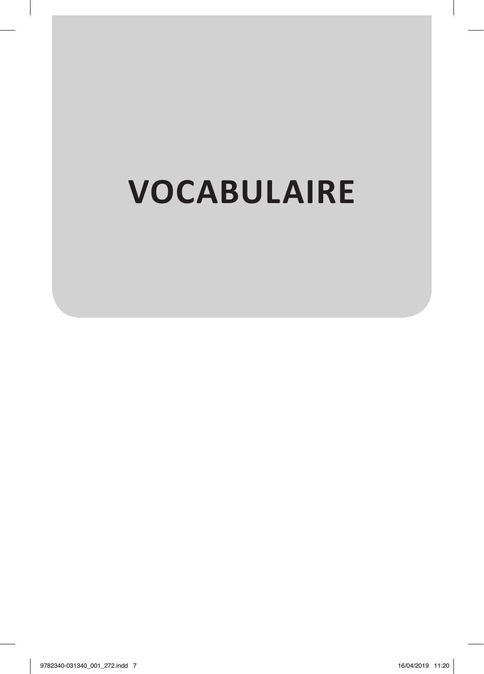# **VOCABULAIRE**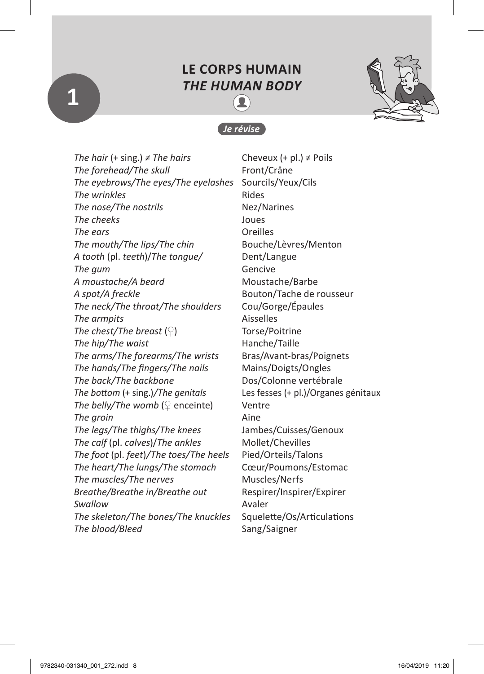### **LE CORPS HUMAIN** *THE HUMAN BODY* ≗



#### *Je révise*

*The hair* (+ sing.) *≠ The hairs* Cheveux (+ pl.) ≠ Poils *The forehead/The skull* Front/Crâne *The eyebrows/The eyes/The eyelashes* Sourcils/Yeux/Cils **The wrinkles** Rides *The nose/The nostrils* Nez/Narines *The cheeks* Joues *The ears* Oreilles *The mouth/The lips/The chin* Bouche/Lèvres/Menton *A tooth* (pl. *teeth*)/*The tongue/* Dent/Langue **The gum** Gencive A moustache/A beard Moustache/Barbe *A spot/A freckle* Bouton/Tache de rousseur *The neck/The throat/The shoulders* Cou/Gorge/Épaules **The armpits** Aisselles *The chest/The breast* (♀) Torse/Poitrine *The hip/The waist* **Hanche/Taille** *The arms/The forearms/The wrists* Bras/Avant-bras/Poignets *The hands/The fingers/The nails* Mains/Doigts/Ongles *The back/The backbone* Dos/Colonne vertébrale *The bottom* (+ sing.)*/The genitals* Les fesses (+ pl.)/Organes génitaux *The belly/The womb*  $(Q \text{ execute})$  Ventre **The groin** Aine *The legs/The thighs/The knees* Jambes/Cuisses/Genoux *The calf (pl. calves)/The ankles* Mollet/Chevilles *The foot* (pl. *feet*)*/The toes/The heels* Pied/Orteils/Talons *The heart/The lungs/The stomach* Cœur/Poumons/Estomac *The muscles/The nerves* Muscles/Nerfs *Breathe/Breathe in/Breathe out* Respirer/Inspirer/Expirer **Swallow** Avaler *The skeleton/The bones/The knuckles* Squelette/Os/Articulations **The blood/Bleed** Sang/Saigner

**1**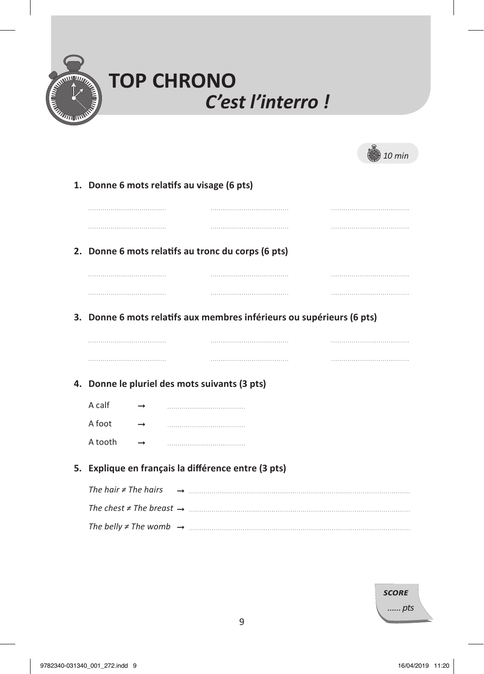

| <b>TOP CHRONO</b> |                  |
|-------------------|------------------|
|                   | C'est l'interro! |

| 10 min |  |
|--------|--|
|        |  |

| 1. Donne 6 mots relatifs au visage (6 pts)          |  |  |                                                                       |  |
|-----------------------------------------------------|--|--|-----------------------------------------------------------------------|--|
|                                                     |  |  |                                                                       |  |
|                                                     |  |  |                                                                       |  |
| 2. Donne 6 mots relatifs au tronc du corps (6 pts)  |  |  |                                                                       |  |
|                                                     |  |  |                                                                       |  |
|                                                     |  |  |                                                                       |  |
|                                                     |  |  | 3. Donne 6 mots relatifs aux membres inférieurs ou supérieurs (6 pts) |  |
|                                                     |  |  |                                                                       |  |
|                                                     |  |  |                                                                       |  |
|                                                     |  |  |                                                                       |  |
| 4. Donne le pluriel des mots suivants (3 pts)       |  |  |                                                                       |  |
| A calf                                              |  |  |                                                                       |  |
| A foot                                              |  |  |                                                                       |  |
| A tooth                                             |  |  |                                                                       |  |
| 5. Explique en français la différence entre (3 pts) |  |  |                                                                       |  |
| The hair $\neq$ The hairs                           |  |  |                                                                       |  |
|                                                     |  |  |                                                                       |  |
|                                                     |  |  |                                                                       |  |

| <b>SCORE</b> |  |
|--------------|--|
| pts          |  |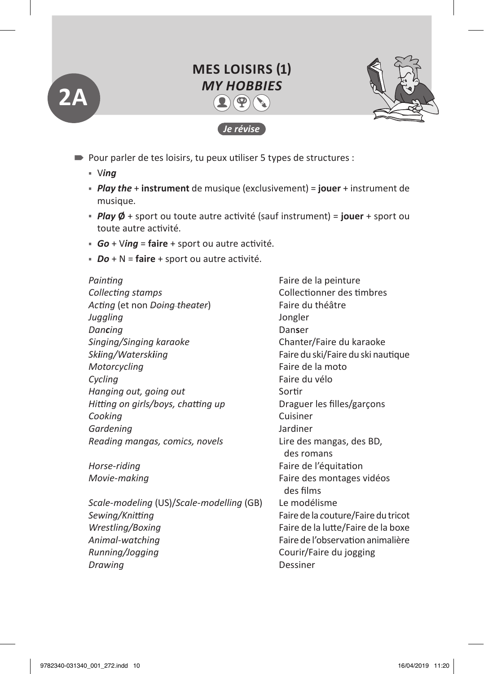# **MES LOISIRS (1)** *MY HOBBIES*  $2(\mathcal{P})$  ( )

*Je révise*



- Pour parler de tes loisirs, tu peux utiliser 5 types de structures :
	- V*ing* ٹ

**2A**

- ٹ *Play the* + **instrument** de musique (exclusivement) = **jouer** + instrument de musique.
- ٹ *Play* **Ø** + sport ou toute autre activité (sauf instrument) = **jouer** + sport ou toute autre activité.
- ٹ *Go* + V*ing* = **faire** + sport ou autre activité.
- ٹ *Do* + N = **faire** + sport ou autre activité.

Painting **Painting Painting Painting Faire de la peinture** *Collecting stamps* Collectionner des timbres *Acting* (et non *Doing theater*) Faire du théâtre *Juggling* Jongler *Dancing* Dan**s**er *Singing/Singing karaoke* Chanter/Faire du karaoke *Skiing/Waterskiing* Faire du ski/Faire du ski nautique *Motorcycling* example a motor Faire de la moto *Cycling* Faire du vélo *Hanging out, going out* Sortir *Hitting on girls/boys, chatting up* **Draguer les filles/garcons** *Cooking* Cuisiner *Gardening* Jardiner *Reading mangas, comics, novels* Lire des mangas, des BD,

*Scale-modeling* (US)/*Scale-modelling* (GB) Le modélisme *Sewing/Knitting* Faire de la *c*outure/Faire du tricot *Wrestling/Boxing* Faire de la lutte/Faire de la boxe *Animal-watching* Faire de l'observation animalière *Running/Jogging* Courir/Faire du jogging **Drawing** Dessiner

des romans *Horse-riding* Faire de l'équitation *Movie-making* entre manual results and Faire des montages vidéos des films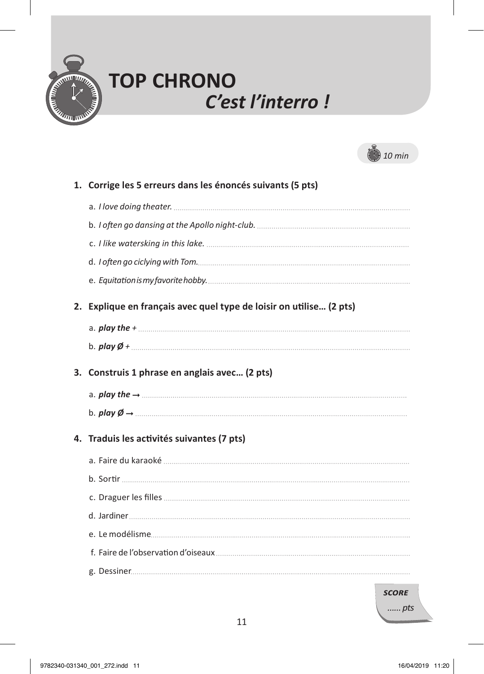

# **TOP CHRONO**  *C'est l'interro !*



| 1. Corrige les 5 erreurs dans les énoncés suivants (5 pts)          |
|---------------------------------------------------------------------|
|                                                                     |
|                                                                     |
|                                                                     |
|                                                                     |
|                                                                     |
| 2. Explique en français avec quel type de loisir on utilise (2 pts) |
|                                                                     |
|                                                                     |
| 3. Construis 1 phrase en anglais avec (2 pts)                       |
|                                                                     |
| b. $p \mid q \rightarrow \dots$                                     |
| 4. Traduis les activités suivantes (7 pts)                          |
|                                                                     |
|                                                                     |
|                                                                     |
|                                                                     |
|                                                                     |
|                                                                     |
|                                                                     |

*score*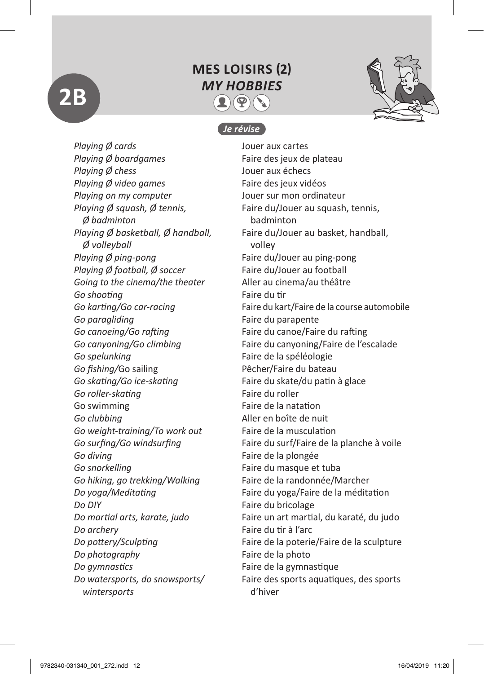# **2B**

### **MES LOISIRS (2)**  *MY HOBBIES*  $2(\mathcal{P})$  ( )



#### *Je révise*

*Playing Ø cards* Jouer aux cartes *Playing Ø boardgames* Faire des jeux de plateau *Playing Ø chess* Jouer aux échecs *Playing Ø video games* Faire des jeux vidéos *Playing on my computer* Jouer sur mon ordinateur *Playing Ø squash, Ø tennis,* Faire du/Jouer au squash, tennis, *Ø badminton* badminton *Playing Ø basketball, Ø handball,* Faire du/Jouer au basket, handball, *Ø volleyball* volley *Playing Ø ping-pong* Faire du/Jouer au ping-pong *Playing Ø football, Ø soccer* Faire du/Jouer au football *Going to the cinema/the theater* Aller au cinema/au théâtre **Go shooting** Faire du tir *Go paragliding* Faire du parapente *Go canoeing/Go rafting* Faire du canoe/Faire du rafting *Go spelunking* Faire de la spéléologie Go fishing/Go sailing **Fightian States and Pecher/Faire du bateau** *Go skating/Go ice-skating* Faire du skate/du patin à glace *Go roller-skating* Faire du roller Go swimming Taire de la natation *Go clubbing* Aller en boîte de nuit *Go weight-training/To work out* Faire de la musculation *Go diving* Faire de la plongée *Go snorkelling* Faire du masque et tuba *Go hiking, go trekking/Walking* Faire de la randonnée/Marcher *Do DIY* Faire du bricolage *Do archery* Faire du tir à l'arc *Do photography* Faire de la photo *Do gymnastics* Faire de la gymnastique *wintersports* d'hiver

*Go karting/Go car-racing* Faire du kart/Faire de la course automobile *Go canyoning/Go climbing* Faire du canyoning/Faire de l'escalade *Go surfing/Go windsurfing* Faire du surf/Faire de la planche à voile *Do yoga/Meditating* Faire du yoga/Faire de la méditation *Do martial arts, karate, judo* Faire un art martial, du karaté, du judo *Do pottery/Sculpting* Faire de la poterie/Faire de la sculpture *Do watersports, do snowsports/* Faire des sports aquatiques, des sports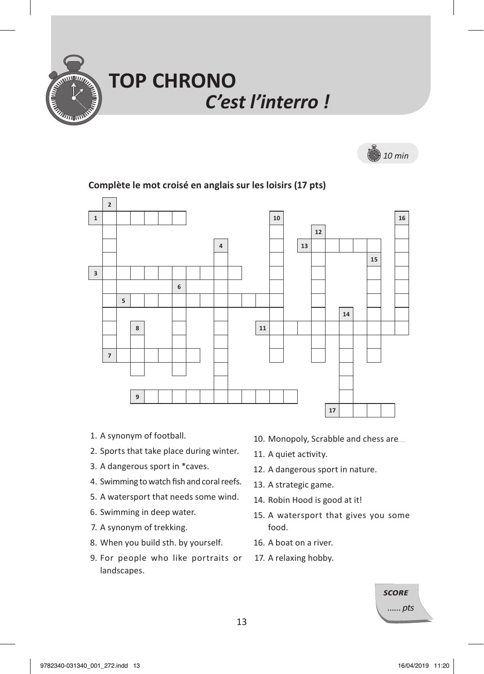

# **TOP CHRONO**  *C'est l'interro !*



## **2 1 1 1 116 116 116 116 12 4 13 15 3 6 5 14 8 11 11 11 7 9 17**

#### **1. Complète le mot croisé en anglais sur les loisirs (17 pts)**

- 1. A synonym of football.
- 2. Sports that take place during winter.
- 3. A dangerous sport in \*caves.
- 4. Swimming to watch fish and coral reefs.
- 5. A watersport that needs some wind.
- 6. Swimming in deep water.
- 7. A synonym of trekking.
- 8. When you build sth. by yourself.
- 9. For people who like portraits or landscapes.
- 10. Monopoly, Scrabble and chess are....
- 11. A quiet activity.
- 12. A dangerous sport in nature.
- 13. A strategic game.
- 14. Robin Hood is good at it!
- 15. A watersport that gives you some food.
- 16. A boat on a river.
- 17. A relaxing hobby.